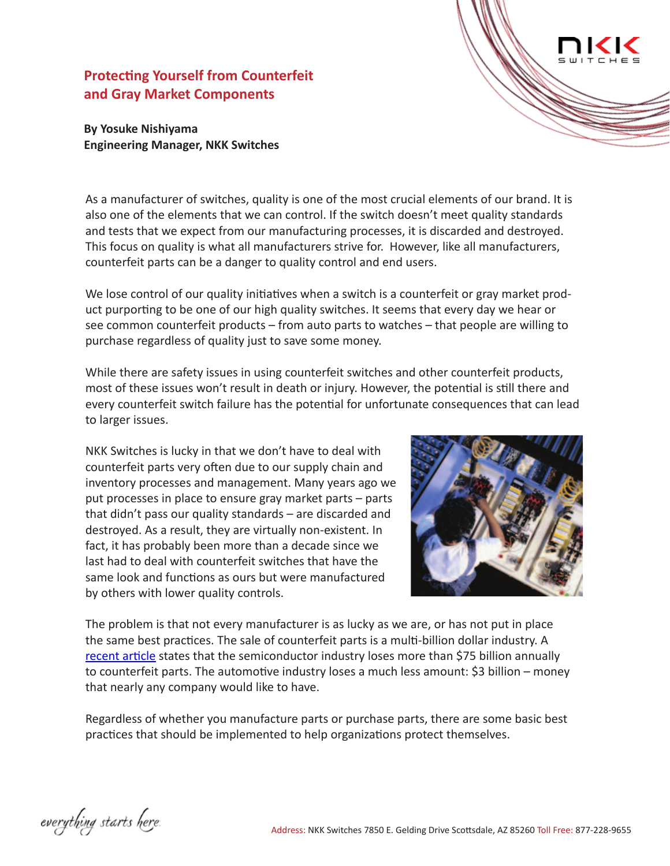# **Protecting Yourself from Counterfeit and Gray Market Components**

# **By Yosuke Nishiyama Engineering Manager, NKK Switches**

As a manufacturer of switches, quality is one of the most crucial elements of our brand. It is also one of the elements that we can control. If the switch doesn't meet quality standards and tests that we expect from our manufacturing processes, it is discarded and destroyed. This focus on quality is what all manufacturers strive for. However, like all manufacturers, counterfeit parts can be a danger to quality control and end users.

We lose control of our quality initiatives when a switch is a counterfeit or gray market product purporting to be one of our high quality switches. It seems that every day we hear or see common counterfeit products – from auto parts to watches – that people are willing to purchase regardless of quality just to save some money.

While there are safety issues in using counterfeit switches and other counterfeit products, most of these issues won't result in death or injury. However, the potential is still there and every counterfeit switch failure has the potential for unfortunate consequences that can lead to larger issues.

NKK Switches is lucky in that we don't have to deal with counterfeit parts very often due to our supply chain and inventory processes and management. Many years ago we put processes in place to ensure gray market parts – parts that didn't pass our quality standards – are discarded and destroyed. As a result, they are virtually non-existent. In fact, it has probably been more than a decade since we last had to deal with counterfeit switches that have the same look and functions as ours but were manufactured by others with lower quality controls.



The problem is that not every manufacturer is as lucky as we are, or has not put in place the same best practices. The sale of counterfeit parts is a multi-billion dollar industry. A [recent article](http://www.industryweek.com/procurement/ticking-time-bomb-counterfeit-electronic-parts) states that the semiconductor industry loses more than \$75 billion annually to counterfeit parts. The automotive industry loses a much less amount: \$3 billion – money that nearly any company would like to have.

Regardless of whether you manufacture parts or purchase parts, there are some basic best practices that should be implemented to help organizations protect themselves.

everything starts here.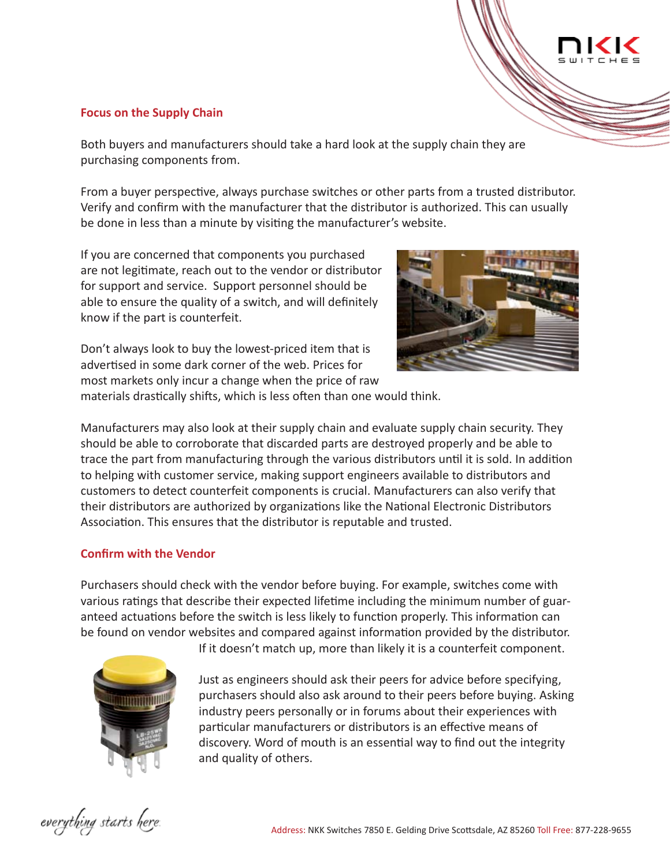#### **Focus on the Supply Chain**

Both buyers and manufacturers should take a hard look at the supply chain they are purchasing components from.

From a buyer perspective, always purchase switches or other parts from a trusted distributor. Verify and confirm with the manufacturer that the distributor is authorized. This can usually be done in less than a minute by visiting the manufacturer's website.

If you are concerned that components you purchased are not legitimate, reach out to the vendor or distributor for support and service. Support personnel should be able to ensure the quality of a switch, and will definitely know if the part is counterfeit.



Don't always look to buy the lowest-priced item that is advertised in some dark corner of the web. Prices for most markets only incur a change when the price of raw

materials drastically shifts, which is less often than one would think.

Manufacturers may also look at their supply chain and evaluate supply chain security. They should be able to corroborate that discarded parts are destroyed properly and be able to trace the part from manufacturing through the various distributors until it is sold. In addition to helping with customer service, making support engineers available to distributors and customers to detect counterfeit components is crucial. Manufacturers can also verify that their distributors are authorized by organizations like the National Electronic Distributors Association. This ensures that the distributor is reputable and trusted.

# **Confirm with the Vendor**

Purchasers should check with the vendor before buying. For example, switches come with various ratings that describe their expected lifetime including the minimum number of guaranteed actuations before the switch is less likely to function properly. This information can be found on vendor websites and compared against information provided by the distributor.



If it doesn't match up, more than likely it is a counterfeit component.

Just as engineers should ask their peers for advice before specifying, purchasers should also ask around to their peers before buying. Asking industry peers personally or in forums about their experiences with particular manufacturers or distributors is an effective means of discovery. Word of mouth is an essential way to find out the integrity and quality of others.

everything starts here.